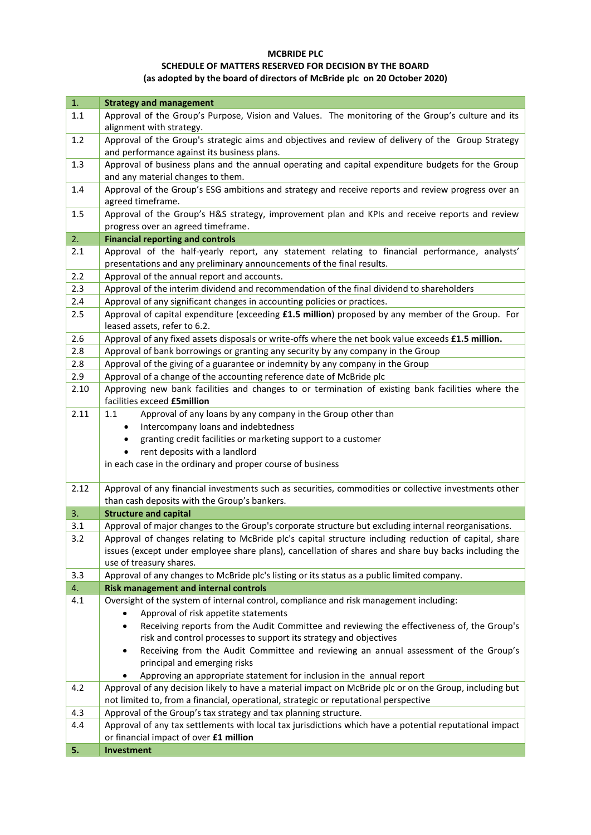## **MCBRIDE PLC SCHEDULE OF MATTERS RESERVED FOR DECISION BY THE BOARD (as adopted by the board of directors of McBride plc on 20 October 2020)**

| 1.      | <b>Strategy and management</b>                                                                                                                           |  |  |  |
|---------|----------------------------------------------------------------------------------------------------------------------------------------------------------|--|--|--|
| 1.1     | Approval of the Group's Purpose, Vision and Values. The monitoring of the Group's culture and its                                                        |  |  |  |
|         | alignment with strategy.                                                                                                                                 |  |  |  |
|         | Approval of the Group's strategic aims and objectives and review of delivery of the Group Strategy<br>1.2<br>and performance against its business plans. |  |  |  |
|         |                                                                                                                                                          |  |  |  |
| 1.3     | Approval of business plans and the annual operating and capital expenditure budgets for the Group                                                        |  |  |  |
|         | and any material changes to them.                                                                                                                        |  |  |  |
| 1.4     |                                                                                                                                                          |  |  |  |
|         | Approval of the Group's ESG ambitions and strategy and receive reports and review progress over an<br>agreed timeframe.                                  |  |  |  |
| $1.5\,$ | Approval of the Group's H&S strategy, improvement plan and KPIs and receive reports and review                                                           |  |  |  |
|         | progress over an agreed timeframe.                                                                                                                       |  |  |  |
| 2.      | <b>Financial reporting and controls</b>                                                                                                                  |  |  |  |
| 2.1     | Approval of the half-yearly report, any statement relating to financial performance, analysts'                                                           |  |  |  |
|         | presentations and any preliminary announcements of the final results.                                                                                    |  |  |  |
| 2.2     | Approval of the annual report and accounts.                                                                                                              |  |  |  |
| 2.3     | Approval of the interim dividend and recommendation of the final dividend to shareholders                                                                |  |  |  |
| 2.4     | Approval of any significant changes in accounting policies or practices.                                                                                 |  |  |  |
| 2.5     | Approval of capital expenditure (exceeding £1.5 million) proposed by any member of the Group. For                                                        |  |  |  |
|         | leased assets, refer to 6.2.                                                                                                                             |  |  |  |
| 2.6     | Approval of any fixed assets disposals or write-offs where the net book value exceeds £1.5 million.                                                      |  |  |  |
| 2.8     | Approval of bank borrowings or granting any security by any company in the Group                                                                         |  |  |  |
| 2.8     | Approval of the giving of a guarantee or indemnity by any company in the Group                                                                           |  |  |  |
| 2.9     | Approval of a change of the accounting reference date of McBride plc                                                                                     |  |  |  |
| 2.10    | Approving new bank facilities and changes to or termination of existing bank facilities where the                                                        |  |  |  |
|         | facilities exceed <b>£5million</b>                                                                                                                       |  |  |  |
| 2.11    | Approval of any loans by any company in the Group other than<br>1.1                                                                                      |  |  |  |
|         | Intercompany loans and indebtedness<br>$\bullet$                                                                                                         |  |  |  |
|         | granting credit facilities or marketing support to a customer                                                                                            |  |  |  |
|         | rent deposits with a landlord                                                                                                                            |  |  |  |
|         | in each case in the ordinary and proper course of business                                                                                               |  |  |  |
|         |                                                                                                                                                          |  |  |  |
| 2.12    | Approval of any financial investments such as securities, commodities or collective investments other                                                    |  |  |  |
|         | than cash deposits with the Group's bankers.                                                                                                             |  |  |  |
| 3.      | <b>Structure and capital</b>                                                                                                                             |  |  |  |
| 3.1     | Approval of major changes to the Group's corporate structure but excluding internal reorganisations.                                                     |  |  |  |
| 3.2     | Approval of changes relating to McBride plc's capital structure including reduction of capital, share                                                    |  |  |  |
|         | issues (except under employee share plans), cancellation of shares and share buy backs including the                                                     |  |  |  |
|         | use of treasury shares.                                                                                                                                  |  |  |  |
| 3.3     | Approval of any changes to McBride plc's listing or its status as a public limited company.                                                              |  |  |  |
| 4.      | <b>Risk management and internal controls</b>                                                                                                             |  |  |  |
| 4.1     | Oversight of the system of internal control, compliance and risk management including:                                                                   |  |  |  |
|         | Approval of risk appetite statements<br>٠                                                                                                                |  |  |  |
|         | Receiving reports from the Audit Committee and reviewing the effectiveness of, the Group's<br>$\bullet$                                                  |  |  |  |
|         | risk and control processes to support its strategy and objectives                                                                                        |  |  |  |
|         | Receiving from the Audit Committee and reviewing an annual assessment of the Group's                                                                     |  |  |  |
|         | principal and emerging risks                                                                                                                             |  |  |  |
|         | Approving an appropriate statement for inclusion in the annual report                                                                                    |  |  |  |
| 4.2     | Approval of any decision likely to have a material impact on McBride plc or on the Group, including but                                                  |  |  |  |
|         | not limited to, from a financial, operational, strategic or reputational perspective                                                                     |  |  |  |
| 4.3     | Approval of the Group's tax strategy and tax planning structure.                                                                                         |  |  |  |
| 4.4     | Approval of any tax settlements with local tax jurisdictions which have a potential reputational impact                                                  |  |  |  |
| 5.      | or financial impact of over £1 million<br>Investment                                                                                                     |  |  |  |
|         |                                                                                                                                                          |  |  |  |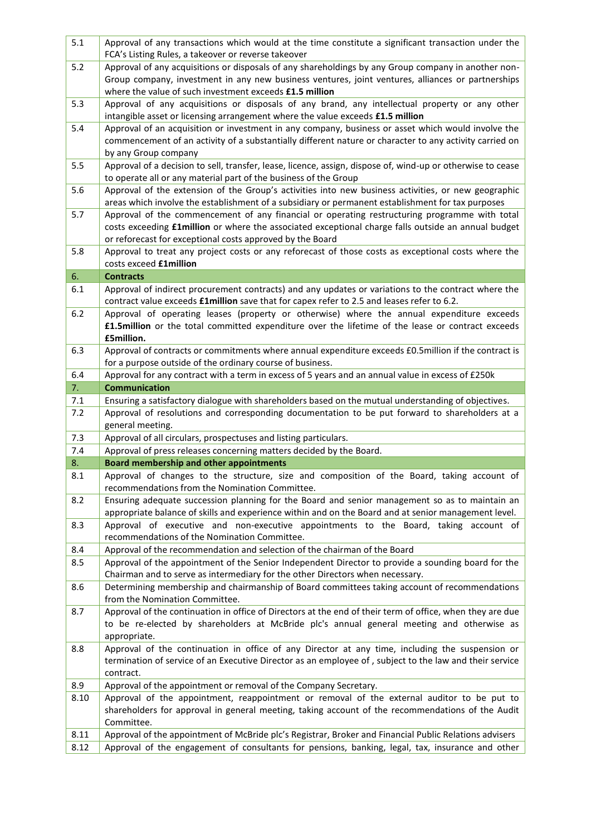| 5.1                                                                                                                                                                                                             | Approval of any transactions which would at the time constitute a significant transaction under the<br>FCA's Listing Rules, a takeover or reverse takeover                     |  |  |  |
|-----------------------------------------------------------------------------------------------------------------------------------------------------------------------------------------------------------------|--------------------------------------------------------------------------------------------------------------------------------------------------------------------------------|--|--|--|
| 5.2                                                                                                                                                                                                             | Approval of any acquisitions or disposals of any shareholdings by any Group company in another non-                                                                            |  |  |  |
|                                                                                                                                                                                                                 | Group company, investment in any new business ventures, joint ventures, alliances or partnerships                                                                              |  |  |  |
|                                                                                                                                                                                                                 | where the value of such investment exceeds £1.5 million                                                                                                                        |  |  |  |
| 5.3                                                                                                                                                                                                             | Approval of any acquisitions or disposals of any brand, any intellectual property or any other                                                                                 |  |  |  |
|                                                                                                                                                                                                                 | intangible asset or licensing arrangement where the value exceeds £1.5 million                                                                                                 |  |  |  |
| 5.4                                                                                                                                                                                                             | Approval of an acquisition or investment in any company, business or asset which would involve the                                                                             |  |  |  |
|                                                                                                                                                                                                                 | commencement of an activity of a substantially different nature or character to any activity carried on                                                                        |  |  |  |
|                                                                                                                                                                                                                 | by any Group company                                                                                                                                                           |  |  |  |
| 5.5                                                                                                                                                                                                             | Approval of a decision to sell, transfer, lease, licence, assign, dispose of, wind-up or otherwise to cease                                                                    |  |  |  |
|                                                                                                                                                                                                                 | to operate all or any material part of the business of the Group                                                                                                               |  |  |  |
| 5.6<br>Approval of the extension of the Group's activities into new business activities, or new geographic<br>areas which involve the establishment of a subsidiary or permanent establishment for tax purposes |                                                                                                                                                                                |  |  |  |
| 5.7                                                                                                                                                                                                             | Approval of the commencement of any financial or operating restructuring programme with total                                                                                  |  |  |  |
|                                                                                                                                                                                                                 | costs exceeding <i>fimillion</i> or where the associated exceptional charge falls outside an annual budget                                                                     |  |  |  |
|                                                                                                                                                                                                                 | or reforecast for exceptional costs approved by the Board                                                                                                                      |  |  |  |
| 5.8                                                                                                                                                                                                             | Approval to treat any project costs or any reforecast of those costs as exceptional costs where the                                                                            |  |  |  |
|                                                                                                                                                                                                                 | costs exceed £1million                                                                                                                                                         |  |  |  |
| 6.                                                                                                                                                                                                              | <b>Contracts</b>                                                                                                                                                               |  |  |  |
| 6.1                                                                                                                                                                                                             | Approval of indirect procurement contracts) and any updates or variations to the contract where the                                                                            |  |  |  |
|                                                                                                                                                                                                                 | contract value exceeds <b>£1million</b> save that for capex refer to 2.5 and leases refer to 6.2.                                                                              |  |  |  |
| $6.2$                                                                                                                                                                                                           | Approval of operating leases (property or otherwise) where the annual expenditure exceeds                                                                                      |  |  |  |
|                                                                                                                                                                                                                 | f1.5million or the total committed expenditure over the lifetime of the lease or contract exceeds                                                                              |  |  |  |
|                                                                                                                                                                                                                 | £5million.                                                                                                                                                                     |  |  |  |
| 6.3                                                                                                                                                                                                             | Approval of contracts or commitments where annual expenditure exceeds £0.5million if the contract is                                                                           |  |  |  |
| 6.4                                                                                                                                                                                                             | for a purpose outside of the ordinary course of business.<br>Approval for any contract with a term in excess of 5 years and an annual value in excess of £250k                 |  |  |  |
| 7.                                                                                                                                                                                                              | <b>Communication</b>                                                                                                                                                           |  |  |  |
|                                                                                                                                                                                                                 |                                                                                                                                                                                |  |  |  |
|                                                                                                                                                                                                                 |                                                                                                                                                                                |  |  |  |
| 7.1                                                                                                                                                                                                             | Ensuring a satisfactory dialogue with shareholders based on the mutual understanding of objectives.                                                                            |  |  |  |
| 7.2                                                                                                                                                                                                             | Approval of resolutions and corresponding documentation to be put forward to shareholders at a<br>general meeting.                                                             |  |  |  |
| 7.3                                                                                                                                                                                                             | Approval of all circulars, prospectuses and listing particulars.                                                                                                               |  |  |  |
| 7.4                                                                                                                                                                                                             | Approval of press releases concerning matters decided by the Board.                                                                                                            |  |  |  |
| 8.                                                                                                                                                                                                              | <b>Board membership and other appointments</b>                                                                                                                                 |  |  |  |
| 8.1                                                                                                                                                                                                             | Approval of changes to the structure, size and composition of the Board, taking account of                                                                                     |  |  |  |
|                                                                                                                                                                                                                 | recommendations from the Nomination Committee.                                                                                                                                 |  |  |  |
| 8.2                                                                                                                                                                                                             | Ensuring adequate succession planning for the Board and senior management so as to maintain an                                                                                 |  |  |  |
|                                                                                                                                                                                                                 | appropriate balance of skills and experience within and on the Board and at senior management level.                                                                           |  |  |  |
| 8.3                                                                                                                                                                                                             | Approval of executive and non-executive appointments to the Board, taking account of                                                                                           |  |  |  |
|                                                                                                                                                                                                                 | recommendations of the Nomination Committee.                                                                                                                                   |  |  |  |
| 8.4                                                                                                                                                                                                             | Approval of the recommendation and selection of the chairman of the Board                                                                                                      |  |  |  |
| 8.5                                                                                                                                                                                                             | Approval of the appointment of the Senior Independent Director to provide a sounding board for the                                                                             |  |  |  |
| 8.6                                                                                                                                                                                                             | Chairman and to serve as intermediary for the other Directors when necessary.<br>Determining membership and chairmanship of Board committees taking account of recommendations |  |  |  |
|                                                                                                                                                                                                                 | from the Nomination Committee.                                                                                                                                                 |  |  |  |
| 8.7                                                                                                                                                                                                             | Approval of the continuation in office of Directors at the end of their term of office, when they are due                                                                      |  |  |  |
|                                                                                                                                                                                                                 | to be re-elected by shareholders at McBride plc's annual general meeting and otherwise as                                                                                      |  |  |  |
|                                                                                                                                                                                                                 | appropriate.                                                                                                                                                                   |  |  |  |
| 8.8                                                                                                                                                                                                             | Approval of the continuation in office of any Director at any time, including the suspension or                                                                                |  |  |  |
|                                                                                                                                                                                                                 | termination of service of an Executive Director as an employee of, subject to the law and their service                                                                        |  |  |  |
|                                                                                                                                                                                                                 | contract.                                                                                                                                                                      |  |  |  |
| 8.9                                                                                                                                                                                                             | Approval of the appointment or removal of the Company Secretary.                                                                                                               |  |  |  |
| 8.10                                                                                                                                                                                                            | Approval of the appointment, reappointment or removal of the external auditor to be put to                                                                                     |  |  |  |
|                                                                                                                                                                                                                 | shareholders for approval in general meeting, taking account of the recommendations of the Audit                                                                               |  |  |  |
| 8.11                                                                                                                                                                                                            | Committee.<br>Approval of the appointment of McBride plc's Registrar, Broker and Financial Public Relations advisers                                                           |  |  |  |